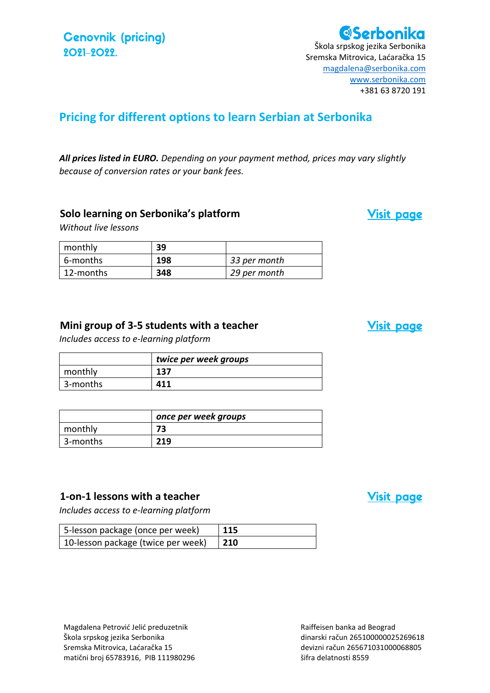**Cenovnik (pricing)** 2021-2022.

# **ØSerbonika**

Škola srpskog jezika Serbonika Sremska Mitrovica, Laćaračka 15 [magdalena@serbonika.com](mailto:magdalena@serbonika.com) [www.serbonika.com](http://www.serbonika.com/) +381 63 8720 191

### **Pricing for different options to learn Serbian at Serbonika**

*All prices listed in EURO. Depending on your payment method, prices may vary slightly because of conversion rates or your bank fees.*

### **Solo learning on Serbonika's platform**

*Without live lessons*

| monthly     | 39  |              |
|-------------|-----|--------------|
| 6-months    | 198 | 33 per month |
| l 12-months | 348 | 29 per month |

### **Mini group of 3-5 students with a teacher**

*Includes access to e-learning platform*

|          | twice per week groups |
|----------|-----------------------|
| monthly  | 137                   |
| 3-months | 411                   |

|          | once per week groups |
|----------|----------------------|
| monthly  | 73                   |
| 3-months | 219                  |

### **1-on-1 lessons with a teacher**

*Includes access to e-learning platform*

| 5-lesson package (once per week)   | $\vert$ 115 |
|------------------------------------|-------------|
| 10-lesson package (twice per week) | $\vert$ 210 |

Raiffeisen banka ad Beograd dinarski račun 265100000025269618 devizni račun 265671031000068805 šifra delatnosti 8559

### **Visit page**

**Visit page** 

**Visit page**